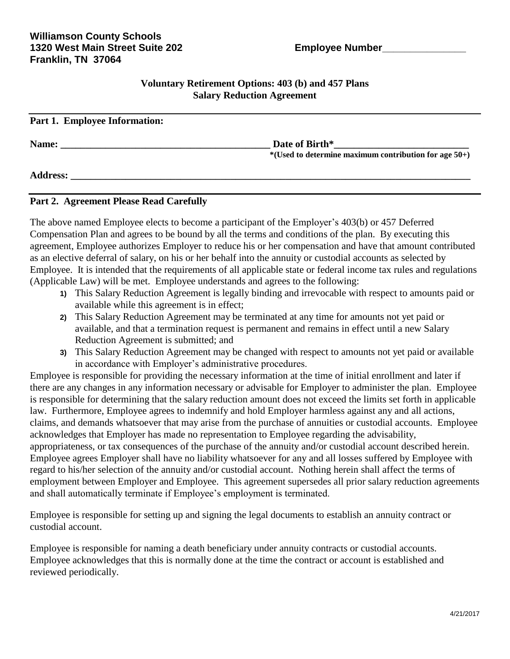#### **Voluntary Retirement Options: 403 (b) and 457 Plans Salary Reduction Agreement**

| Part 1. Employee Information: |                                                                           |
|-------------------------------|---------------------------------------------------------------------------|
| Name:                         | Date of Birth*<br>$*(Used to determine maximum contribution for age 50+)$ |
| <b>Address:</b>               |                                                                           |

### **Part 2. Agreement Please Read Carefully**

The above named Employee elects to become a participant of the Employer's 403(b) or 457 Deferred Compensation Plan and agrees to be bound by all the terms and conditions of the plan. By executing this agreement, Employee authorizes Employer to reduce his or her compensation and have that amount contributed as an elective deferral of salary, on his or her behalf into the annuity or custodial accounts as selected by Employee. It is intended that the requirements of all applicable state or federal income tax rules and regulations (Applicable Law) will be met. Employee understands and agrees to the following:

- **1)** This Salary Reduction Agreement is legally binding and irrevocable with respect to amounts paid or available while this agreement is in effect;
- **2)** This Salary Reduction Agreement may be terminated at any time for amounts not yet paid or available, and that a termination request is permanent and remains in effect until a new Salary Reduction Agreement is submitted; and
- **3)** This Salary Reduction Agreement may be changed with respect to amounts not yet paid or available in accordance with Employer's administrative procedures.

Employee is responsible for providing the necessary information at the time of initial enrollment and later if there are any changes in any information necessary or advisable for Employer to administer the plan. Employee is responsible for determining that the salary reduction amount does not exceed the limits set forth in applicable law. Furthermore, Employee agrees to indemnify and hold Employer harmless against any and all actions, claims, and demands whatsoever that may arise from the purchase of annuities or custodial accounts. Employee acknowledges that Employer has made no representation to Employee regarding the advisability, appropriateness, or tax consequences of the purchase of the annuity and/or custodial account described herein. Employee agrees Employer shall have no liability whatsoever for any and all losses suffered by Employee with regard to his/her selection of the annuity and/or custodial account. Nothing herein shall affect the terms of employment between Employer and Employee. This agreement supersedes all prior salary reduction agreements and shall automatically terminate if Employee's employment is terminated.

Employee is responsible for setting up and signing the legal documents to establish an annuity contract or custodial account.

Employee is responsible for naming a death beneficiary under annuity contracts or custodial accounts. Employee acknowledges that this is normally done at the time the contract or account is established and reviewed periodically.